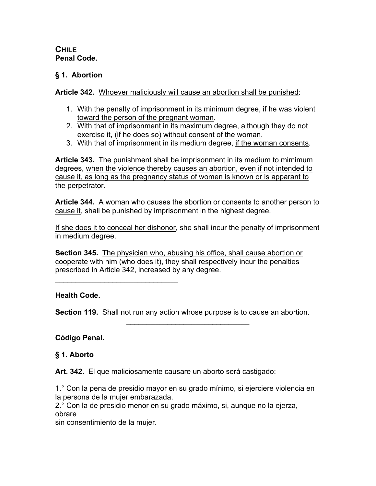## **CHILE Penal Code.**

## **§ 1. Abortion**

**Article 342.** Whoever maliciously will cause an abortion shall be punished:

- 1. With the penalty of imprisonment in its minimum degree, if he was violent toward the person of the pregnant woman.
- 2. With that of imprisonment in its maximum degree, although they do not exercise it, (if he does so) without consent of the woman.
- 3. With that of imprisonment in its medium degree, if the woman consents.

**Article 343.** The punishment shall be imprisonment in its medium to mimimum degrees, when the violence thereby causes an abortion, even if not intended to cause it, as long as the pregnancy status of women is known or is apparant to the perpetrator.

**Article 344.** A woman who causes the abortion or consents to another person to cause it, shall be punished by imprisonment in the highest degree.

If she does it to conceal her dishonor, she shall incur the penalty of imprisonment in medium degree.

**Section 345.** The physician who, abusing his office, shall cause abortion or cooperate with him (who does it), they shall respectively incur the penalties prescribed in Article 342, increased by any degree.

## **Health Code.**

**Section 119.** Shall not run any action whose purpose is to cause an abortion.

 $\mathcal{L}_\text{max}$  and  $\mathcal{L}_\text{max}$  and  $\mathcal{L}_\text{max}$ 

**Código Penal.**

## **§ 1. Aborto**

**Art. 342.** El que maliciosamente causare un aborto será castigado:

1.° Con la pena de presidio mayor en su grado mínimo, si ejerciere violencia en la persona de la mujer embarazada.

2.° Con la de presidio menor en su grado máximo, si, aunque no la ejerza, obrare

sin consentimiento de la mujer.

 $\mathcal{L}=\{1,2,3,4,5\}$